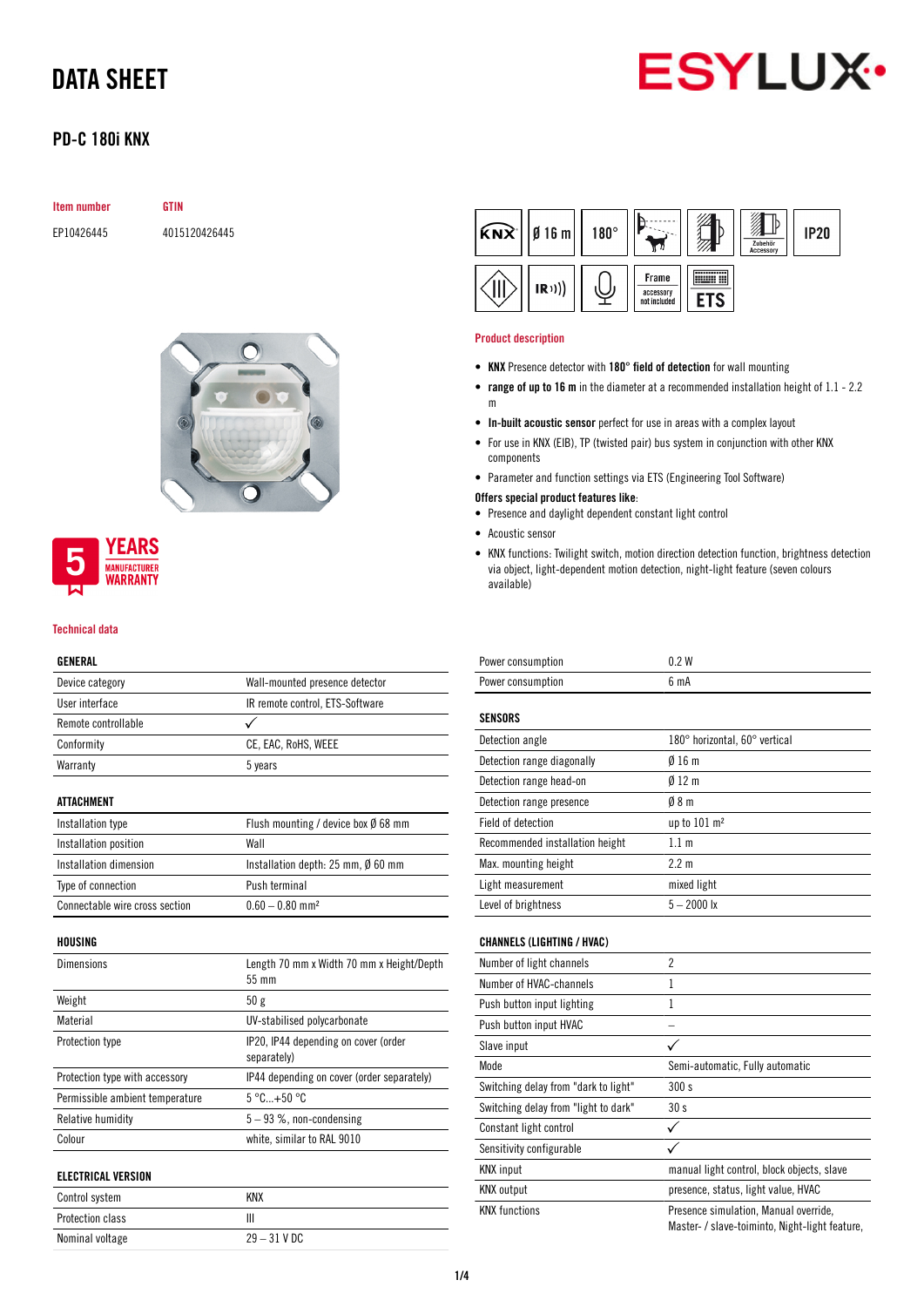

## PD-C 180i KNX

| <b>Item number</b> | <b>GTIN</b>   |  |
|--------------------|---------------|--|
| EP10426445         | 4015120426445 |  |



## **YEARS MANUFACTURER** WARRANTY

#### Technical data

### GENERAL

| Device category                 | Wall-mounted presence detector                      |
|---------------------------------|-----------------------------------------------------|
| User interface                  | IR remote control, ETS-Software                     |
| Remote controllable             |                                                     |
| Conformity                      | CE, EAC, RoHS, WEEE                                 |
| Warranty                        | 5 years                                             |
| <b>ATTACHMENT</b>               |                                                     |
| Installation type               | Flush mounting / device box $\emptyset$ 68 mm       |
| Installation position           | Wall                                                |
| Installation dimension          | Installation depth: $25$ mm, $\emptyset$ 60 mm      |
| Type of connection              | Push terminal                                       |
| Connectable wire cross section  | $0.60 - 0.80$ mm <sup>2</sup>                       |
| HOUSING                         |                                                     |
| <b>Dimensions</b>               | Length 70 mm x Width 70 mm x Height/Depth<br>55 mm  |
| Weight                          | 50g                                                 |
| Material                        | UV-stabilised polycarbonate                         |
| Protection type                 | IP20, IP44 depending on cover (order<br>separately) |
| Protection type with accessory  | IP44 depending on cover (order separately)          |
| Permissible ambient temperature | $5^{\circ}$ C+50 $^{\circ}$ C                       |
| Relative humidity               | $5 - 93$ %, non-condensing                          |
| Colour                          |                                                     |
|                                 | white, similar to RAL 9010                          |
| <b>ELECTRICAL VERSION</b>       |                                                     |
| Control system                  | <b>KNX</b>                                          |
| Protection class                | Ш                                                   |



#### Product description

- KNX Presence detector with 180° field of detection for wall mounting
- range of up to 16 m in the diameter at a recommended installation height of 1.1 2.2 m
- In-built acoustic sensor perfect for use in areas with a complex layout
- For use in KNX (EIB), TP (twisted pair) bus system in conjunction with other KNX components
- Parameter and function settings via ETS (Engineering Tool Software)
- Offers special product features like:
- Presence and daylight dependent constant light control
- Acoustic sensor
- KNX functions: Twilight switch, motion direction detection function, brightness detection via object, light-dependent motion detection, night-light feature (seven colours available)

| Power consumption               | 0.2W                          |
|---------------------------------|-------------------------------|
| Power consumption               | 6 mA                          |
|                                 |                               |
| SENSORS                         |                               |
| Detection angle                 | 180° horizontal, 60° vertical |
| Detection range diagonally      | Ø16m                          |
| Detection range head-on         | $0/12$ m                      |
| Detection range presence        | 08 <sub>m</sub>               |
| Field of detection              | up to $101 \text{ m}^2$       |
| Recommended installation height | 1.1 <sub>m</sub>              |
| Max. mounting height            | 2.2 m                         |
| Light measurement               | mixed light                   |
| Level of brightness             | $5 - 2000$ lx                 |
|                                 |                               |

### CHANNELS (LIGHTING / HVAC)

| Number of light channels             | $\overline{2}$                                                                          |
|--------------------------------------|-----------------------------------------------------------------------------------------|
| Number of HVAC-channels              | 1                                                                                       |
| Push button input lighting           | 1                                                                                       |
| Push button input HVAC               |                                                                                         |
| Slave input                          |                                                                                         |
| Mode                                 | Semi-automatic, Fully automatic                                                         |
| Switching delay from "dark to light" | 300 s                                                                                   |
| Switching delay from "light to dark" | 30s                                                                                     |
| Constant light control               |                                                                                         |
| Sensitivity configurable             |                                                                                         |
| <b>KNX</b> input                     | manual light control, block objects, slave                                              |
| <b>KNX</b> output                    | presence, status, light value, HVAC                                                     |
| <b>KNX</b> functions                 | Presence simulation, Manual override,<br>Master- / slave-toiminto, Night-light feature, |
|                                      |                                                                                         |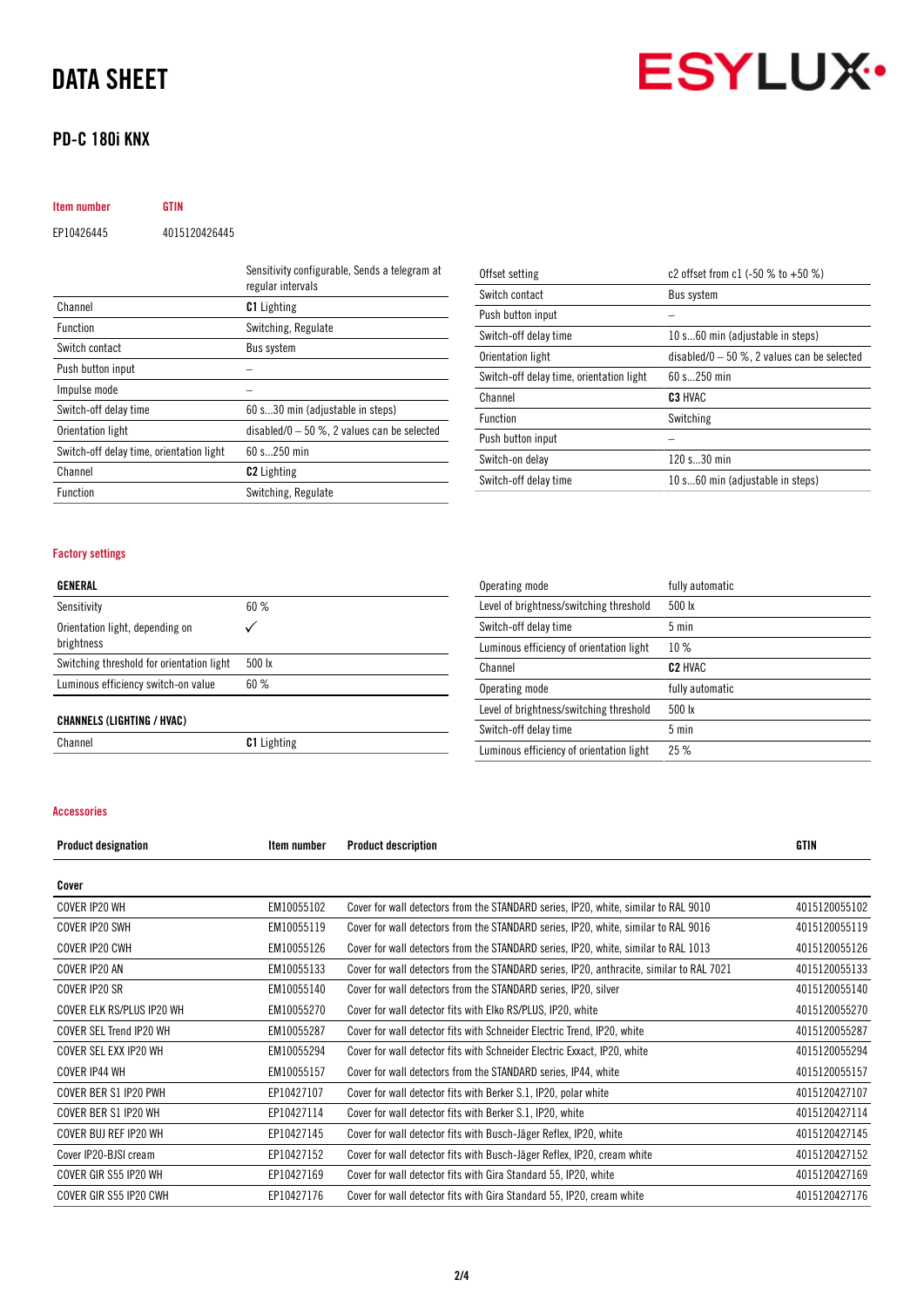## PD-C 180i KNX



Item number GTIN EP10426445 4015120426445

|                                          | Sensitivity configurable, Sends a telegram at<br>regular intervals |
|------------------------------------------|--------------------------------------------------------------------|
| Channel                                  | <b>C1</b> Lighting                                                 |
| <b>Function</b>                          | Switching, Regulate                                                |
| Switch contact                           | Bus system                                                         |
| Push button input                        |                                                                    |
| Impulse mode                             |                                                                    |
| Switch-off delay time                    | 60 s30 min (adjustable in steps)                                   |
| Orientation light                        | disabled/0 $-50$ %, 2 values can be selected                       |
| Switch-off delay time, orientation light | $60 s$ 250 min                                                     |
| Channel                                  | <b>C2</b> Lighting                                                 |
| <b>Function</b>                          | Switching, Regulate                                                |

| Offset setting                           | c2 offset from c1 $(-50\%$ to $+50\%)$       |
|------------------------------------------|----------------------------------------------|
| Switch contact                           | Bus system                                   |
| Push button input                        |                                              |
| Switch-off delay time                    | 10 s60 min (adjustable in steps)             |
| Orientation light                        | disabled/0 $-50$ %, 2 values can be selected |
| Switch-off delay time, orientation light | $60 s$ 250 min                               |
| Channel                                  | C <sub>3</sub> HVAC                          |
| <b>Function</b>                          | Switching                                    |
| Push button input                        |                                              |
| Switch-on delay                          | 120 s30 min                                  |
| Switch-off delay time                    | 10 s60 min (adjustable in steps)             |

### Factory settings

| GENERAL |
|---------|
|---------|

| Sensitivity                                   | 60%                |
|-----------------------------------------------|--------------------|
| Orientation light, depending on<br>brightness |                    |
| Switching threshold for orientation light     | 500 lx             |
| Luminous efficiency switch-on value           | 60%                |
| <b>CHANNELS (LIGHTING / HVAC)</b>             |                    |
| Channel                                       | <b>C1</b> Lighting |

| Operating mode                           | fully automatic  |
|------------------------------------------|------------------|
| Level of brightness/switching threshold  | $500 \text{ lx}$ |
| Switch-off delay time                    | $5 \text{ min}$  |
| Luminous efficiency of orientation light | 10%              |
| Channel                                  | <b>C2 HVAC</b>   |
| Operating mode                           | fully automatic  |
| Level of brightness/switching threshold  | $500 \text{ lx}$ |
| Switch-off delay time                    | 5 min            |
| Luminous efficiency of orientation light | 25%              |

#### Accessories

| <b>Product designation</b> | Item number | <b>Product description</b>                                                               | <b>GTIN</b>   |
|----------------------------|-------------|------------------------------------------------------------------------------------------|---------------|
| Cover                      |             |                                                                                          |               |
| COVER IP20 WH              | EM10055102  | Cover for wall detectors from the STANDARD series, IP20, white, similar to RAL 9010      | 4015120055102 |
| COVER IP20 SWH             | EM10055119  | Cover for wall detectors from the STANDARD series, IP20, white, similar to RAL 9016      | 4015120055119 |
| COVER IP20 CWH             | EM10055126  | Cover for wall detectors from the STANDARD series, IP20, white, similar to RAL 1013      | 4015120055126 |
| COVER IP20 AN              | EM10055133  | Cover for wall detectors from the STANDARD series, IP20, anthracite, similar to RAL 7021 | 4015120055133 |
| COVER IP20 SR              | EM10055140  | Cover for wall detectors from the STANDARD series, IP20, silver                          | 4015120055140 |
| COVER ELK RS/PLUS IP20 WH  | EM10055270  | Cover for wall detector fits with Elko RS/PLUS, IP20, white                              | 4015120055270 |
| COVER SEL Trend IP20 WH    | EM10055287  | Cover for wall detector fits with Schneider Electric Trend, IP20, white                  | 4015120055287 |
| COVER SEL EXX IP20 WH      | EM10055294  | Cover for wall detector fits with Schneider Electric Exxact, IP20, white                 | 4015120055294 |
| COVER IP44 WH              | EM10055157  | Cover for wall detectors from the STANDARD series, IP44, white                           | 4015120055157 |
| COVER BER S1 IP20 PWH      | EP10427107  | Cover for wall detector fits with Berker S.1, IP20, polar white                          | 4015120427107 |
| COVER BER S1 IP20 WH       | EP10427114  | Cover for wall detector fits with Berker S.1, IP20, white                                | 4015120427114 |
| COVER BUJ REF IP20 WH      | EP10427145  | Cover for wall detector fits with Busch-Jäger Reflex, IP20, white                        | 4015120427145 |
| Cover IP20-BJSI cream      | EP10427152  | Cover for wall detector fits with Busch-Jäger Reflex, IP20, cream white                  | 4015120427152 |
| COVER GIR S55 IP20 WH      | EP10427169  | Cover for wall detector fits with Gira Standard 55, IP20, white                          | 4015120427169 |
| COVER GIR S55 IP20 CWH     | EP10427176  | Cover for wall detector fits with Gira Standard 55, IP20, cream white                    | 4015120427176 |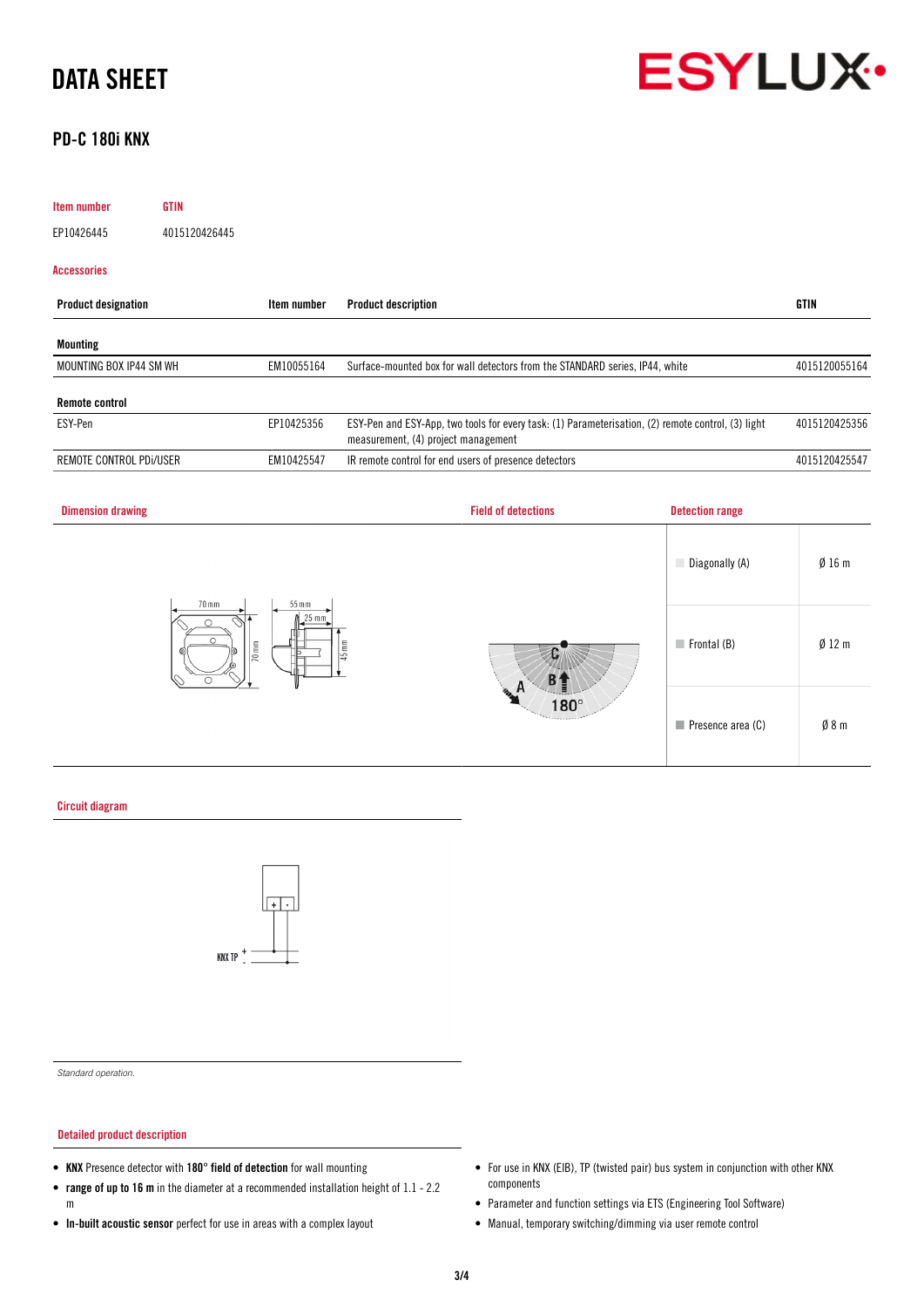

## PD-C 180i KNX

| <b>Item number</b>         | <b>GTIN</b>   |             |                                                                                                                                           |               |
|----------------------------|---------------|-------------|-------------------------------------------------------------------------------------------------------------------------------------------|---------------|
| EP10426445                 | 4015120426445 |             |                                                                                                                                           |               |
| <b>Accessories</b>         |               |             |                                                                                                                                           |               |
| <b>Product designation</b> |               | Item number | <b>Product description</b>                                                                                                                | <b>GTIN</b>   |
| <b>Mounting</b>            |               |             |                                                                                                                                           |               |
| MOUNTING BOX IP44 SM WH    |               | EM10055164  | Surface-mounted box for wall detectors from the STANDARD series, IP44, white                                                              | 4015120055164 |
| <b>Remote control</b>      |               |             |                                                                                                                                           |               |
| ESY-Pen                    |               | EP10425356  | ESY-Pen and ESY-App, two tools for every task: (1) Parameterisation, (2) remote control, (3) light<br>measurement, (4) project management | 4015120425356 |
| REMOTE CONTROL PDI/USER    |               | EM10425547  | IR remote control for end users of presence detectors                                                                                     | 4015120425547 |
|                            |               |             |                                                                                                                                           |               |



Circuit diagram



*Standard operation.*

### Detailed product description

- KNX Presence detector with 180° field of detection for wall mounting
- range of up to 16 m in the diameter at a recommended installation height of 1.1 2.2 m
- In-built acoustic sensor perfect for use in areas with a complex layout
- For use in KNX (EIB), TP (twisted pair) bus system in conjunction with other KNX components
- Parameter and function settings via ETS (Engineering Tool Software)
- Manual, temporary switching/dimming via user remote control